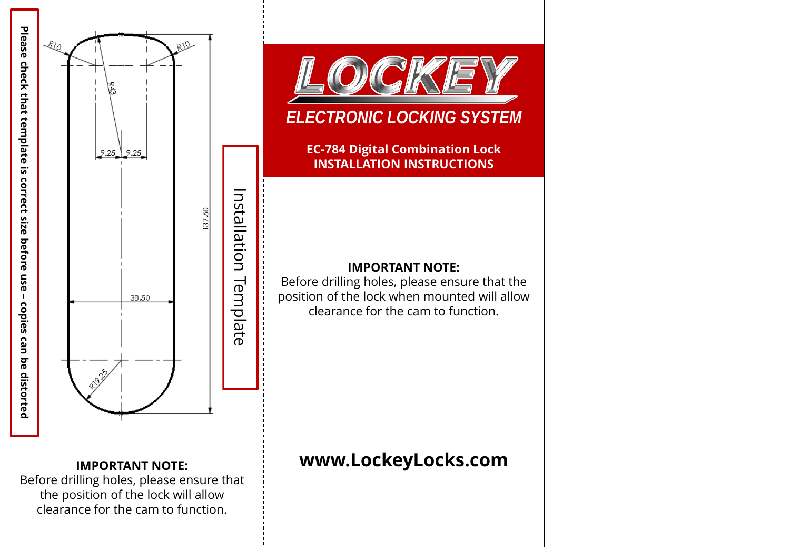



# *ELECTRONIC LOCKING SYSTEM*

**EC-784 Digital Combination Lock INSTALLATION INSTRUCTIONS**

### **IMPORTANT NOTE:**

Before drilling holes, please ensure that the position of the lock when mounted will allow clearance for the cam to function.

## **IMPORTANT NOTE:**

Before drilling holes, please ensure that the position of the lock will allow clearance for the cam to function.

# **www.LockeyLocks.com**